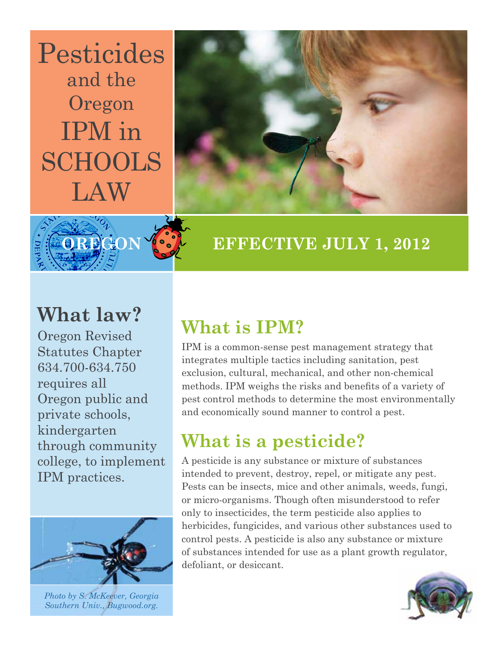## Pesticides and the Oregon IPM in SCHOOLS LAW





### **EFFECTIVE JULY 1, 2012**

## **What law?**

Oregon Revised Statutes Chapter 634.750 requires all Oregon public and private schools, kindergarten through community college, to implement IPM practices.



*Photo by S. McKeever, Georgia Southern Univ., Bugwood.org.*

## **What is IPM?**

IPM is a common-sense pest management strategy that integrates multiple tactics including sanitation, pest exclusion, cultural, mechanical, and other non-chemical methods. IPM weighs the risks and benefits of a variety of pest control methods to determine the most environmentally and economically sound manner to control a pest.

## **What is a pesticide?**

A pesticide is any substance or mixture of substances intended to prevent, destroy, repel, or mitigate any pest. Pests can be insects, mice and other animals, weeds, fungi, or micro-organisms. Though often misunderstood to refer only to insecticides, the term pesticide also applies to herbicides, fungicides, and various other substances used to control pests. A pesticide is also any substance or mixture of substances intended for use as a plant growth regulator, defoliant, or desiccant.

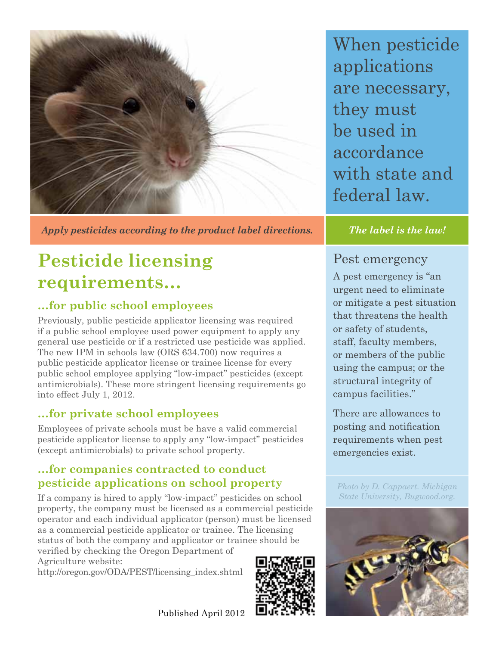

*Apply pesticides according to the product label directions. The label is the law!*

## **Pesticide licensing requirements…**

#### **…for public school employees**

Previously, public pesticide applicator licensing was required if a public school employee used power equipment to apply any general use pesticide or if a restricted use pesticide was applied. The new IPM in schools law (ORS 634.700) now requires a public pesticide applicator license or trainee license for every public school employee applying "low-impact" pesticides (except antimicrobials). These more stringent licensing requirements go into effect July 1, 2012.

#### **…for private school employees**

Employees of private schools must be have a valid commercial pesticide applicator license to apply any "low-impact" pesticides (except antimicrobials) to private school property.

#### **…for companies contracted to conduct pesticide applications on school property**

If a company is hired to apply "low-impact" pesticides on school property, the company must be licensed as a commercial pesticide operator and each individual applicator (person) must be licensed as a commercial pesticide applicator or trainee. The licensing status of both the company and applicator or trainee should be verified by checking the Oregon Department of Agriculture website:

http://oregon.gov/ODA/PEST/licensing index.shtml



When pesticide applications are necessary, they must be used in accordance with state and federal law.

#### Pest emergency

A pest emergency is "an urgent need to eliminate or mitigate a pest situation that threatens the health or safety of students. staff, faculty members, or members of the public using the campus; or the structural integrity of campus facilities."

There are allowances to posting and notification requirements when pest emergencies exist.

*Photo by D. Cappaert. Michigan State University, Bugwood.org.*



Published April 2012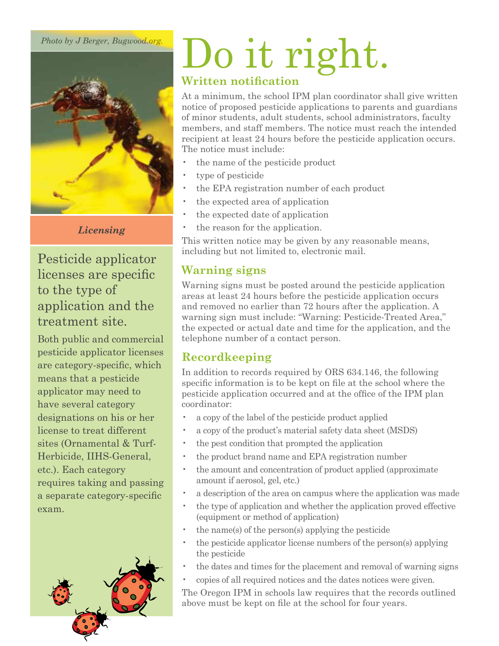*Photo by J Berger, Bugwood.org.*



*Licensing*

Pesticide applicator licenses are specific to the type of application and the treatment site.

Both public and commercial pesticide applicator licenses are category-specific, which means that a pesticide applicator may need to have several category designations on his or her license to treat different sites (Ornamental  $&$  Turf-Herbicide, IIHS-General, etc.). Each category requires taking and passing a separate category-specific exam.



## Do it right. **Written notification**

At a minimum, the school IPM plan coordinator shall give written notice of proposed pesticide applications to parents and guardians of minor students, adult students, school administrators, faculty members, and staff members. The notice must reach the intended recipient at least 24 hours before the pesticide application occurs. The notice must include:

- the name of the pesticide product
- type of pesticide
- the EPA registration number of each product
- the expected area of application
- the expected date of application
- the reason for the application.

This written notice may be given by any reasonable means. including but not limited to, electronic mail.

#### **Warning signs**

Warning signs must be posted around the pesticide application areas at least 24 hours before the pesticide application occurs and removed no earlier than 72 hours after the application. A warning sign must include: "Warning: Pesticide-Treated Area," the expected or actual date and time for the application, and the telephone number of a contact person.

#### **Recordkeeping**

In addition to records required by ORS  $634.146$ , the following specific information is to be kept on file at the school where the pesticide application occurred and at the office of the IPM plan coordinator:

- a copy of the label of the pesticide product applied
- a copy of the product's material safety data sheet (MSDS)
- the pest condition that prompted the application
- the product brand name and EPA registration number
- the amount and concentration of product applied (approximate amount if aerosol, gel, etc.)
- a description of the area on campus where the application was made
- the type of application and whether the application proved effective (equipment or method of application)
- $\cdot$  the name(s) of the person(s) applying the pesticide
- the pesticide applicator license numbers of the person(s) applying the pesticide
- the dates and times for the placement and removal of warning signs
- copies of all required notices and the dates notices were given.

The Oregon IPM in schools law requires that the records outlined above must be kept on file at the school for four years.